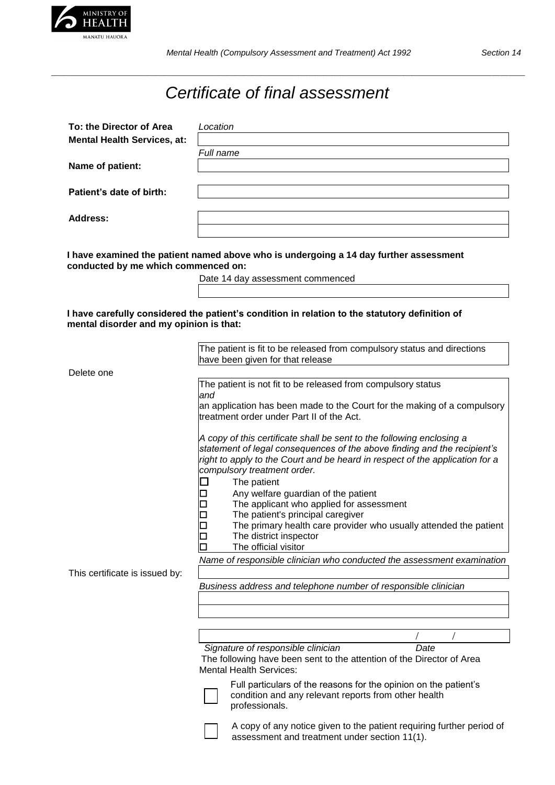

*\_\_\_\_\_\_\_\_\_\_\_\_\_\_\_\_\_\_\_\_\_\_\_\_\_\_\_\_\_\_\_\_\_\_\_\_\_\_\_\_\_\_\_\_\_\_\_\_\_\_\_\_\_\_\_\_\_\_\_\_\_\_\_\_\_\_\_\_\_\_\_\_\_\_\_\_\_\_\_\_\_\_\_\_\_\_\_\_\_\_\_\_\_\_\_\_\_\_\_\_\_\_\_\_\_\_\_\_\_\_\_\_\_*

## *Certificate of final assessment*

| To: the Director of Area<br><b>Mental Health Services, at:</b> | Location  |
|----------------------------------------------------------------|-----------|
|                                                                | Full name |
| Name of patient:                                               |           |
| Patient's date of birth:                                       |           |
| <b>Address:</b>                                                |           |

**I have examined the patient named above who is undergoing a 14 day further assessment conducted by me which commenced on:**

Date 14 day assessment commenced

## **I have carefully considered the patient's condition in relation to the statutory definition of mental disorder and my opinion is that:**

|                                | The patient is fit to be released from compulsory status and directions                                                                                                                                                                                                         |
|--------------------------------|---------------------------------------------------------------------------------------------------------------------------------------------------------------------------------------------------------------------------------------------------------------------------------|
|                                | have been given for that release                                                                                                                                                                                                                                                |
|                                |                                                                                                                                                                                                                                                                                 |
| Delete one                     |                                                                                                                                                                                                                                                                                 |
|                                | The patient is not fit to be released from compulsory status<br>and                                                                                                                                                                                                             |
|                                | an application has been made to the Court for the making of a compulsory<br>treatment order under Part II of the Act.                                                                                                                                                           |
|                                | A copy of this certificate shall be sent to the following enclosing a<br>statement of legal consequences of the above finding and the recipient's<br>right to apply to the Court and be heard in respect of the application for a<br>compulsory treatment order.<br>The patient |
|                                | Any welfare guardian of the patient                                                                                                                                                                                                                                             |
|                                | The applicant who applied for assessment                                                                                                                                                                                                                                        |
|                                |                                                                                                                                                                                                                                                                                 |
|                                | The patient's principal caregiver                                                                                                                                                                                                                                               |
|                                | The primary health care provider who usually attended the patient                                                                                                                                                                                                               |
|                                | The district inspector                                                                                                                                                                                                                                                          |
|                                | The official visitor                                                                                                                                                                                                                                                            |
|                                | Name of responsible clinician who conducted the assessment examination                                                                                                                                                                                                          |
| This certificate is issued by: |                                                                                                                                                                                                                                                                                 |
|                                | Business address and telephone number of responsible clinician                                                                                                                                                                                                                  |
|                                |                                                                                                                                                                                                                                                                                 |
|                                |                                                                                                                                                                                                                                                                                 |
|                                |                                                                                                                                                                                                                                                                                 |
|                                |                                                                                                                                                                                                                                                                                 |
|                                | Signature of responsible clinician<br>Date                                                                                                                                                                                                                                      |
|                                | The following have been sent to the attention of the Director of Area                                                                                                                                                                                                           |
|                                | <b>Mental Health Services:</b>                                                                                                                                                                                                                                                  |
|                                |                                                                                                                                                                                                                                                                                 |
|                                | Full particulars of the reasons for the opinion on the patient's                                                                                                                                                                                                                |
|                                | condition and any relevant reports from other health<br>professionals.                                                                                                                                                                                                          |
|                                |                                                                                                                                                                                                                                                                                 |



A copy of any notice given to the patient requiring further period of assessment and treatment under section 11(1).